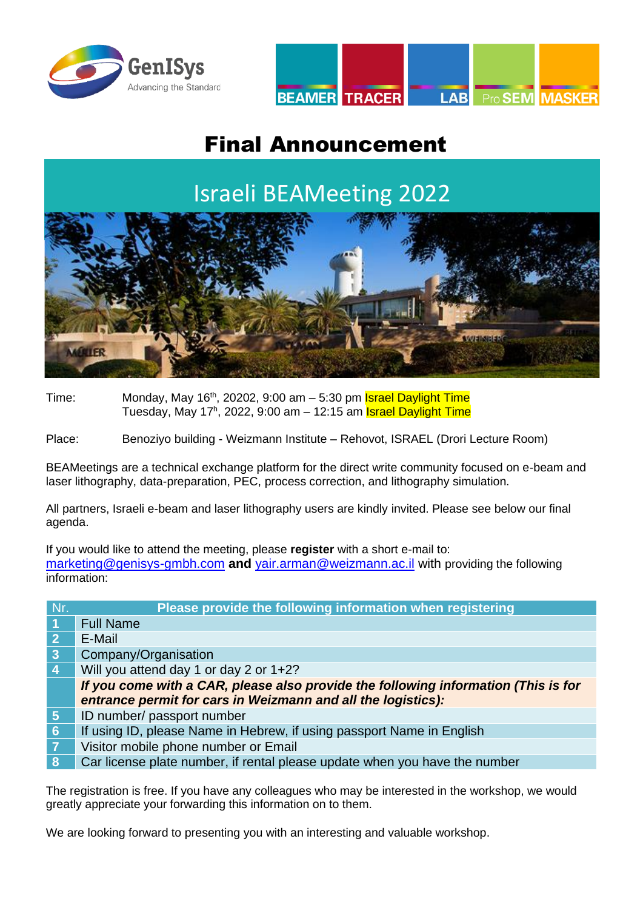



## Final Announcement

## Israeli BEAMeeting 2022



Time: Monday, May  $16<sup>th</sup>$ , 20202, 9:00 am  $-5:30$  pm **Israel Daylight Time** Tuesday, May 17ʰ, 2022, 9:00 am – 12:15 am <mark>Israel Daylight Time</mark>

Place: Benoziyo building - Weizmann Institute – Rehovot, ISRAEL (Drori Lecture Room)

BEAMeetings are a technical exchange platform for the direct write community focused on e-beam and laser lithography, data-preparation, PEC, process correction, and lithography simulation.

All partners, Israeli e-beam and laser lithography users are kindly invited. Please see below our final agenda.

If you would like to attend the meeting, please **register** with a short e-mail to: [marketing@genisys-gmbh.com](mailto:marketing@genisys-gmbh.com) **and** [yair.arman@weizmann.ac.il](file://///globaldata/management/Marketing/BEAMeetings%20Conferences%20Webinars/BEAM-LABmeetings/2022/05%20Israel%20BEAMeeting/yair.arman@weizmann.ac.il) with providing the following information:

| Nr.                     | Please provide the following information when registering                          |  |
|-------------------------|------------------------------------------------------------------------------------|--|
| $\vert$ 1               | <b>Full Name</b>                                                                   |  |
| $\overline{2}$          | E-Mail                                                                             |  |
| $\overline{\mathbf{3}}$ | Company/Organisation                                                               |  |
| $\overline{4}$          | Will you attend day 1 or day 2 or 1+2?                                             |  |
|                         | If you come with a CAR, please also provide the following information (This is for |  |
|                         | entrance permit for cars in Weizmann and all the logistics):                       |  |
| 5 <sub>5</sub>          | ID number/ passport number                                                         |  |
| $6\phantom{1}6$         | If using ID, please Name in Hebrew, if using passport Name in English              |  |
| $\overline{7}$          | Visitor mobile phone number or Email                                               |  |
| 8                       | Car license plate number, if rental please update when you have the number         |  |

The registration is free. If you have any colleagues who may be interested in the workshop, we would greatly appreciate your forwarding this information on to them.

We are looking forward to presenting you with an interesting and valuable workshop.